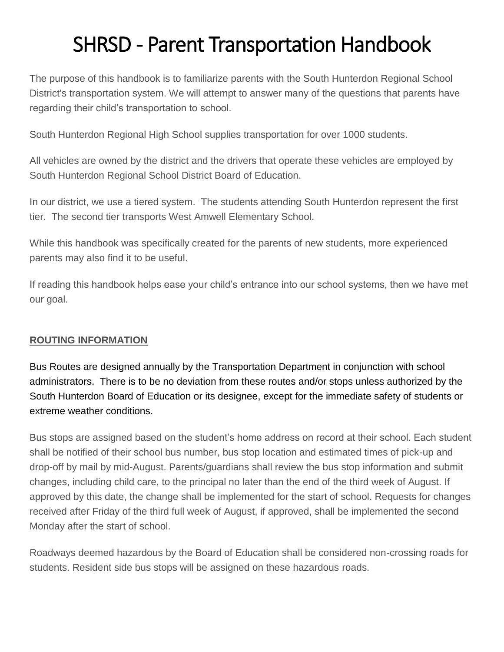# SHRSD - Parent Transportation Handbook

The purpose of this handbook is to familiarize parents with the South Hunterdon Regional School District's transportation system. We will attempt to answer many of the questions that parents have regarding their child's transportation to school.

South Hunterdon Regional High School supplies transportation for over 1000 students.

All vehicles are owned by the district and the drivers that operate these vehicles are employed by South Hunterdon Regional School District Board of Education.

In our district, we use a tiered system. The students attending South Hunterdon represent the first tier. The second tier transports West Amwell Elementary School.

While this handbook was specifically created for the parents of new students, more experienced parents may also find it to be useful.

If reading this handbook helps ease your child's entrance into our school systems, then we have met our goal.

#### **ROUTING INFORMATION**

Bus Routes are designed annually by the Transportation Department in conjunction with school administrators. There is to be no deviation from these routes and/or stops unless authorized by the South Hunterdon Board of Education or its designee, except for the immediate safety of students or extreme weather conditions.

Bus stops are assigned based on the student's home address on record at their school. Each student shall be notified of their school bus number, bus stop location and estimated times of pick-up and drop-off by mail by mid-August. Parents/guardians shall review the bus stop information and submit changes, including child care, to the principal no later than the end of the third week of August. If approved by this date, the change shall be implemented for the start of school. Requests for changes received after Friday of the third full week of August, if approved, shall be implemented the second Monday after the start of school.

Roadways deemed hazardous by the Board of Education shall be considered non-crossing roads for students. Resident side bus stops will be assigned on these hazardous roads.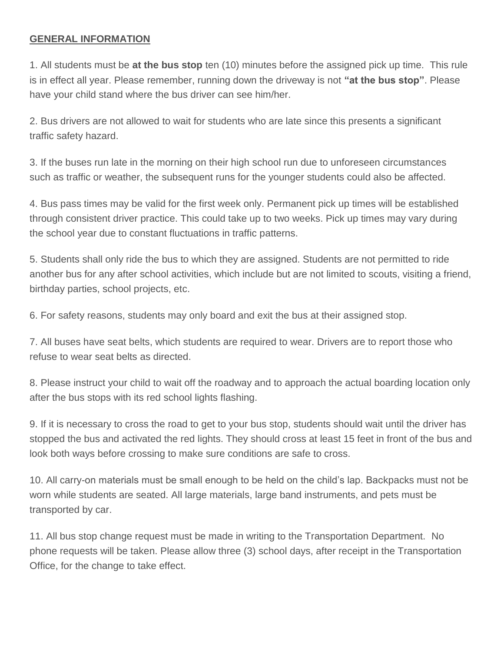#### **GENERAL INFORMATION**

1. All students must be **at the bus stop** ten (10) minutes before the assigned pick up time. This rule is in effect all year. Please remember, running down the driveway is not **"at the bus stop"**. Please have your child stand where the bus driver can see him/her.

2. Bus drivers are not allowed to wait for students who are late since this presents a significant traffic safety hazard.

3. If the buses run late in the morning on their high school run due to unforeseen circumstances such as traffic or weather, the subsequent runs for the younger students could also be affected.

4. Bus pass times may be valid for the first week only. Permanent pick up times will be established through consistent driver practice. This could take up to two weeks. Pick up times may vary during the school year due to constant fluctuations in traffic patterns.

5. Students shall only ride the bus to which they are assigned. Students are not permitted to ride another bus for any after school activities, which include but are not limited to scouts, visiting a friend, birthday parties, school projects, etc.

6. For safety reasons, students may only board and exit the bus at their assigned stop.

7. All buses have seat belts, which students are required to wear. Drivers are to report those who refuse to wear seat belts as directed.

8. Please instruct your child to wait off the roadway and to approach the actual boarding location only after the bus stops with its red school lights flashing.

9. If it is necessary to cross the road to get to your bus stop, students should wait until the driver has stopped the bus and activated the red lights. They should cross at least 15 feet in front of the bus and look both ways before crossing to make sure conditions are safe to cross.

10. All carry-on materials must be small enough to be held on the child's lap. Backpacks must not be worn while students are seated. All large materials, large band instruments, and pets must be transported by car.

11. All bus stop change request must be made in writing to the Transportation Department. No phone requests will be taken. Please allow three (3) school days, after receipt in the Transportation Office, for the change to take effect.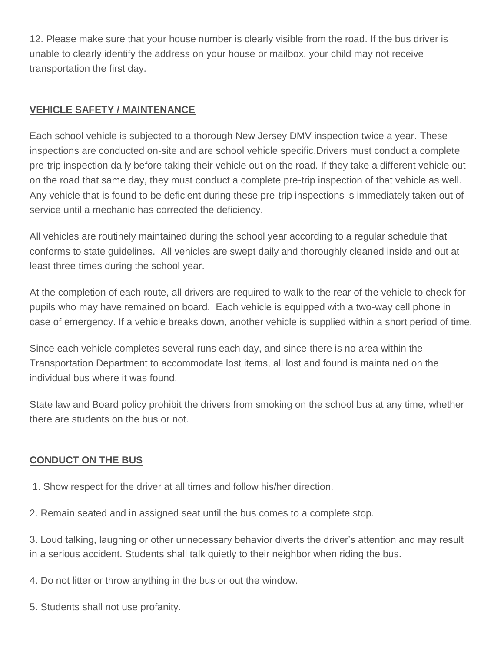12. Please make sure that your house number is clearly visible from the road. If the bus driver is unable to clearly identify the address on your house or mailbox, your child may not receive transportation the first day.

#### **VEHICLE SAFETY / MAINTENANCE**

Each school vehicle is subjected to a thorough New Jersey DMV inspection twice a year. These inspections are conducted on-site and are school vehicle specific.Drivers must conduct a complete pre-trip inspection daily before taking their vehicle out on the road. If they take a different vehicle out on the road that same day, they must conduct a complete pre-trip inspection of that vehicle as well. Any vehicle that is found to be deficient during these pre-trip inspections is immediately taken out of service until a mechanic has corrected the deficiency.

All vehicles are routinely maintained during the school year according to a regular schedule that conforms to state guidelines. All vehicles are swept daily and thoroughly cleaned inside and out at least three times during the school year.

At the completion of each route, all drivers are required to walk to the rear of the vehicle to check for pupils who may have remained on board. Each vehicle is equipped with a two-way cell phone in case of emergency. If a vehicle breaks down, another vehicle is supplied within a short period of time.

Since each vehicle completes several runs each day, and since there is no area within the Transportation Department to accommodate lost items, all lost and found is maintained on the individual bus where it was found.

State law and Board policy prohibit the drivers from smoking on the school bus at any time, whether there are students on the bus or not.

## **CONDUCT ON THE BUS**

- 1. Show respect for the driver at all times and follow his/her direction.
- 2. Remain seated and in assigned seat until the bus comes to a complete stop.

3. Loud talking, laughing or other unnecessary behavior diverts the driver's attention and may result in a serious accident. Students shall talk quietly to their neighbor when riding the bus.

- 4. Do not litter or throw anything in the bus or out the window.
- 5. Students shall not use profanity.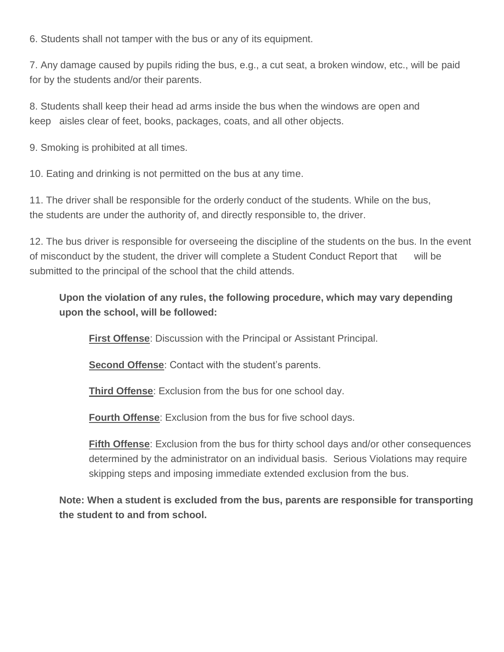6. Students shall not tamper with the bus or any of its equipment.

7. Any damage caused by pupils riding the bus, e.g., a cut seat, a broken window, etc., will be paid for by the students and/or their parents.

8. Students shall keep their head ad arms inside the bus when the windows are open and keep aisles clear of feet, books, packages, coats, and all other objects.

9. Smoking is prohibited at all times.

10. Eating and drinking is not permitted on the bus at any time.

11. The driver shall be responsible for the orderly conduct of the students. While on the bus, the students are under the authority of, and directly responsible to, the driver.

12. The bus driver is responsible for overseeing the discipline of the students on the bus. In the event of misconduct by the student, the driver will complete a Student Conduct Report that will be submitted to the principal of the school that the child attends.

# **Upon the violation of any rules, the following procedure, which may vary depending upon the school, will be followed:**

**First Offense**: Discussion with the Principal or Assistant Principal.

**Second Offense: Contact with the student's parents.** 

**Third Offense**: Exclusion from the bus for one school day.

**Fourth Offense**: Exclusion from the bus for five school days.

**Fifth Offense**: Exclusion from the bus for thirty school days and/or other consequences determined by the administrator on an individual basis. Serious Violations may require skipping steps and imposing immediate extended exclusion from the bus.

**Note: When a student is excluded from the bus, parents are responsible for transporting the student to and from school.**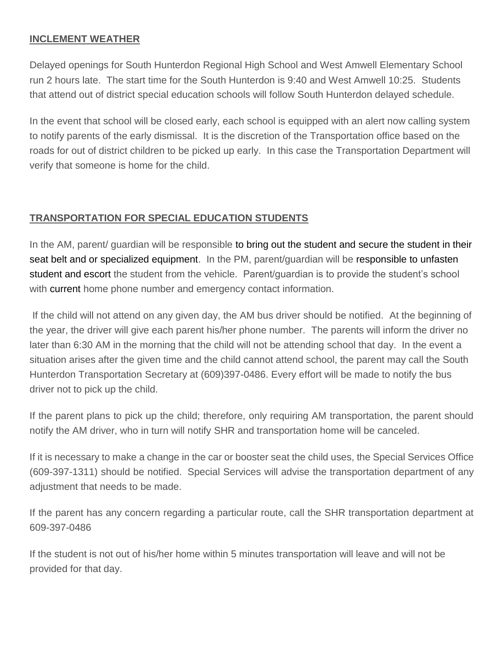#### **INCLEMENT WEATHER**

Delayed openings for South Hunterdon Regional High School and West Amwell Elementary School run 2 hours late. The start time for the South Hunterdon is 9:40 and West Amwell 10:25. Students that attend out of district special education schools will follow South Hunterdon delayed schedule.

In the event that school will be closed early, each school is equipped with an alert now calling system to notify parents of the early dismissal. It is the discretion of the Transportation office based on the roads for out of district children to be picked up early. In this case the Transportation Department will verify that someone is home for the child.

#### **TRANSPORTATION FOR SPECIAL EDUCATION STUDENTS**

In the AM, parent/ guardian will be responsible to bring out the student and secure the student in their seat belt and or specialized equipment. In the PM, parent/guardian will be responsible to unfasten student and escort the student from the vehicle. Parent/guardian is to provide the student's school with current home phone number and emergency contact information.

If the child will not attend on any given day, the AM bus driver should be notified. At the beginning of the year, the driver will give each parent his/her phone number. The parents will inform the driver no later than 6:30 AM in the morning that the child will not be attending school that day. In the event a situation arises after the given time and the child cannot attend school, the parent may call the South Hunterdon Transportation Secretary at (609)397-0486. Every effort will be made to notify the bus driver not to pick up the child.

If the parent plans to pick up the child; therefore, only requiring AM transportation, the parent should notify the AM driver, who in turn will notify SHR and transportation home will be canceled.

If it is necessary to make a change in the car or booster seat the child uses, the Special Services Office (609-397-1311) should be notified. Special Services will advise the transportation department of any adjustment that needs to be made.

If the parent has any concern regarding a particular route, call the SHR transportation department at 609-397-0486

If the student is not out of his/her home within 5 minutes transportation will leave and will not be provided for that day.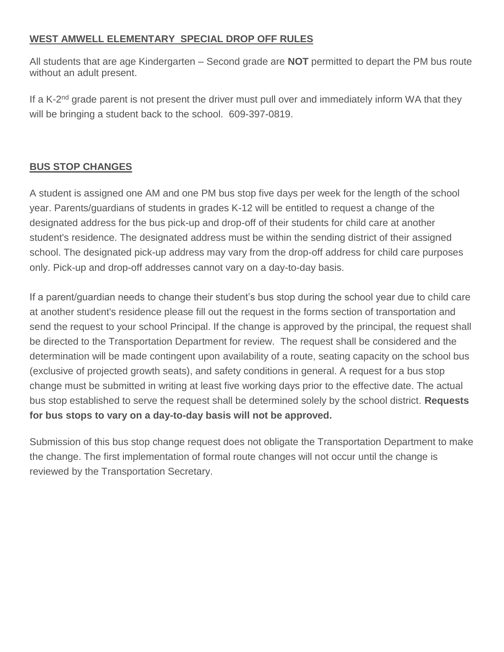#### **WEST AMWELL ELEMENTARY SPECIAL DROP OFF RULES**

All students that are age Kindergarten – Second grade are **NOT** permitted to depart the PM bus route without an adult present.

If a K-2<sup>nd</sup> grade parent is not present the driver must pull over and immediately inform WA that they will be bringing a student back to the school. 609-397-0819.

## **BUS STOP CHANGES**

A student is assigned one AM and one PM bus stop five days per week for the length of the school year. Parents/guardians of students in grades K-12 will be entitled to request a change of the designated address for the bus pick-up and drop-off of their students for child care at another student's residence. The designated address must be within the sending district of their assigned school. The designated pick-up address may vary from the drop-off address for child care purposes only. Pick-up and drop-off addresses cannot vary on a day-to-day basis.

If a parent/guardian needs to change their student's bus stop during the school year due to child care at another student's residence please fill out the request in the forms section of transportation and send the request to your school Principal. If the change is approved by the principal, the request shall be directed to the Transportation Department for review. The request shall be considered and the determination will be made contingent upon availability of a route, seating capacity on the school bus (exclusive of projected growth seats), and safety conditions in general. A request for a bus stop change must be submitted in writing at least five working days prior to the effective date. The actual bus stop established to serve the request shall be determined solely by the school district. **Requests for bus stops to vary on a day-to-day basis will not be approved.**

Submission of this bus stop change request does not obligate the Transportation Department to make the change. The first implementation of formal route changes will not occur until the change is reviewed by the Transportation Secretary.